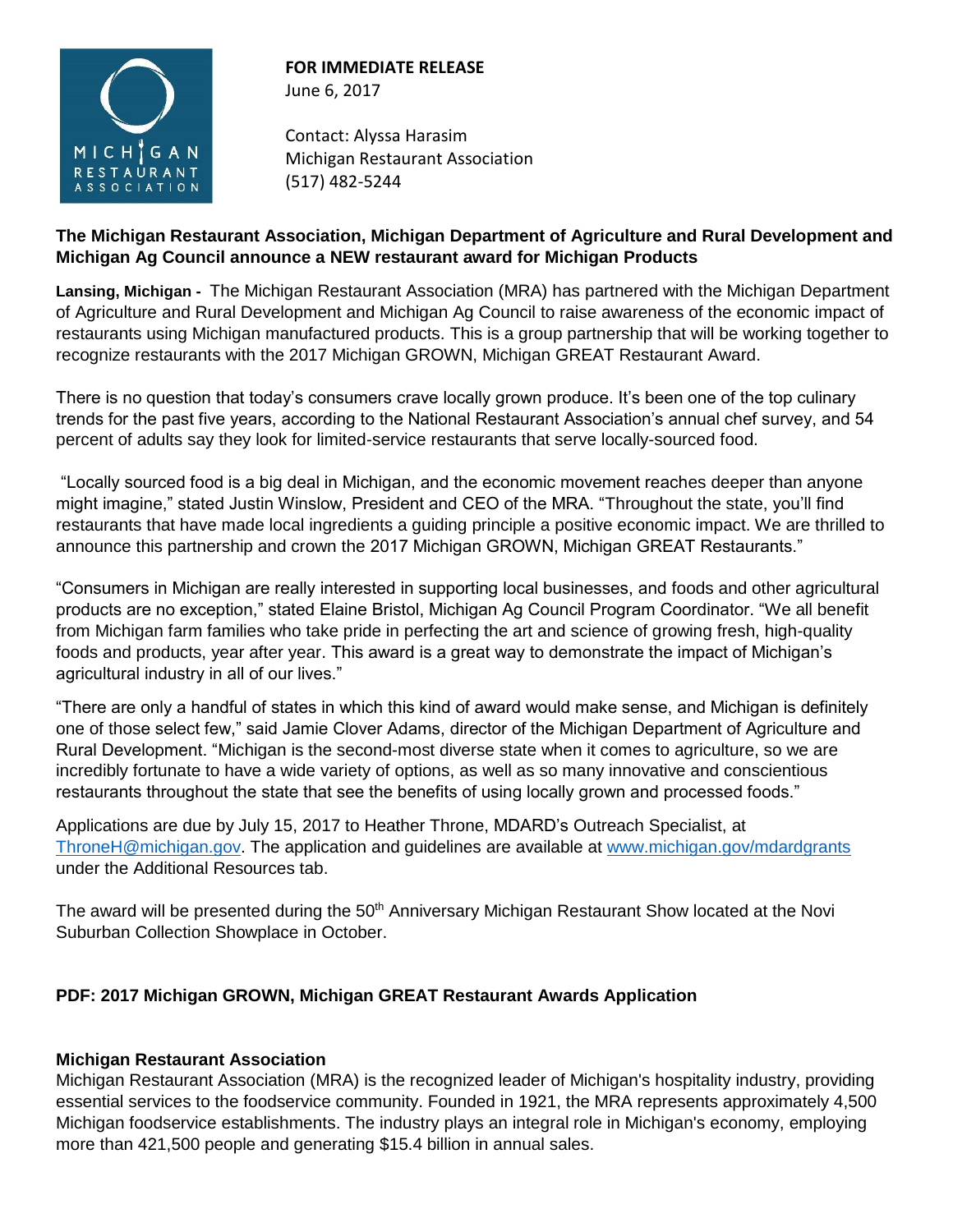

# **FOR IMMEDIATE RELEASE** June 6, 2017

Contact: Alyssa Harasim Michigan Restaurant Association (517) 482-5244

## **The Michigan Restaurant Association, Michigan Department of Agriculture and Rural Development and Michigan Ag Council announce a NEW restaurant award for Michigan Products**

**Lansing, Michigan -** The Michigan Restaurant Association (MRA) has partnered with the Michigan Department of Agriculture and Rural Development and Michigan Ag Council to raise awareness of the economic impact of restaurants using Michigan manufactured products. This is a group partnership that will be working together to recognize restaurants with the 2017 Michigan GROWN, Michigan GREAT Restaurant Award.

There is no question that today's consumers crave locally grown produce. It's been one of the top culinary trends for the past five years, according to the National Restaurant Association's annual chef survey, and 54 percent of adults say they look for limited-service restaurants that serve locally-sourced food.

"Locally sourced food is a big deal in Michigan, and the economic movement reaches deeper than anyone might imagine," stated Justin Winslow, President and CEO of the MRA. "Throughout the state, you'll find restaurants that have made local ingredients a guiding principle a positive economic impact. We are thrilled to announce this partnership and crown the 2017 Michigan GROWN, Michigan GREAT Restaurants."

"Consumers in Michigan are really interested in supporting local businesses, and foods and other agricultural products are no exception," stated Elaine Bristol, Michigan Ag Council Program Coordinator. "We all benefit from Michigan farm families who take pride in perfecting the art and science of growing fresh, high-quality foods and products, year after year. This award is a great way to demonstrate the impact of Michigan's agricultural industry in all of our lives."

"There are only a handful of states in which this kind of award would make sense, and Michigan is definitely one of those select few," said Jamie Clover Adams, director of the Michigan Department of Agriculture and Rural Development. "Michigan is the second-most diverse state when it comes to agriculture, so we are incredibly fortunate to have a wide variety of options, as well as so many innovative and conscientious restaurants throughout the state that see the benefits of using locally grown and processed foods."

Applications are due by July 15, 2017 to Heather Throne, MDARD's Outreach Specialist, at [ThroneH@michigan.gov.](mailto:ThroneH@michigan.gov) The application and guidelines are available at [www.michigan.gov/mdardgrants](http://www.michigan.gov/mdardgrants) under the Additional Resources tab.

The award will be presented during the 50<sup>th</sup> Anniversary Michigan Restaurant Show located at the Novi Suburban Collection Showplace in October.

# **PDF: 2017 Michigan GROWN, Michigan GREAT Restaurant Awards Application**

# **Michigan Restaurant Association**

Michigan Restaurant Association (MRA) is the recognized leader of Michigan's hospitality industry, providing essential services to the foodservice community. Founded in 1921, the MRA represents approximately 4,500 Michigan foodservice establishments. The industry plays an integral role in Michigan's economy, employing more than 421,500 people and generating \$15.4 billion in annual sales.